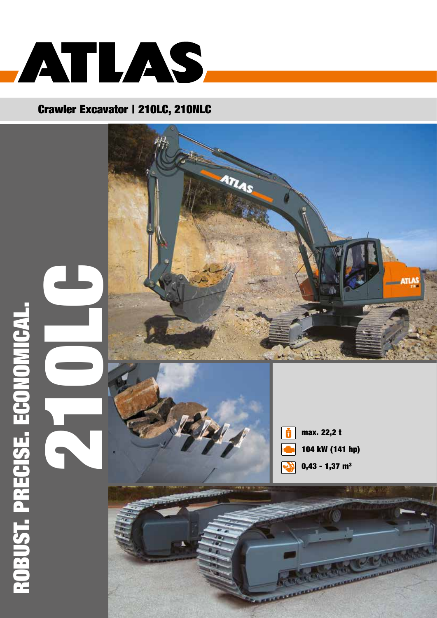

## Crawler Excavator | 210LC, 210NLC







max. 22,2 t 104 kW (141 hp)  $0,43 - 1,37$  m<sup>3</sup>

 $1.500 - 2$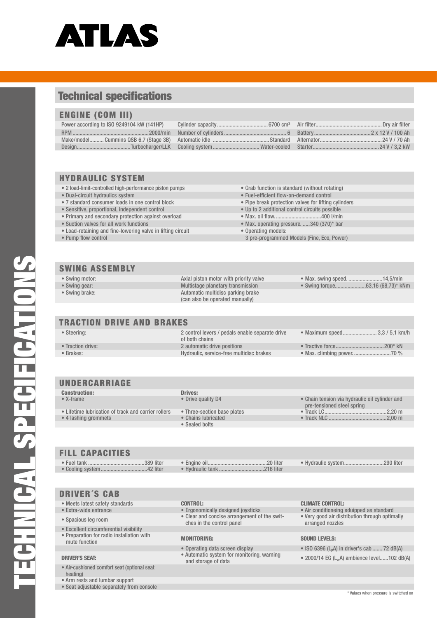

#### **Technical specifications**

#### **ENGINE (COM III)**

#### **HYDRAULIC SYSTEM**

- · 2 load-limit-controlled high-performance piston pumps
- · Dual-circuit hydraulics system
- 7 standard consumer loads in one control block
- · Sensitive, proportional, independent control
- Primary and secondary protection against overload
- Suction valves for all work functions
- . Load-retaining and fine-lowering valve in lifting circuit
- Pump flow control
- Grab function is standard (without rotating)
- Fuel-efficient flow-on-demand control
- Pipe break protection valves for lifting cylinders
- . Up to 2 additional control circuits possible
- 
- · Max. operating pressure. .....340 (370)\* bar
- · Operating models:
- 3 pre-programmed Models (Fine, Eco, Power)

#### **SWING ASSEMBLY**

- · Swing motor:
- Swing gear:
- Swing brake:

Axial piston motor with priority valve Multistage planetary transmission Automatic multidisc parking brake (can also be operated manually)

#### · Swing torque... .....................63,16 (68,73)\* kNm

• Max. swing speed. ........................14,5/min

#### **TRACTION DRIVE AND BRAKES**

| • Steering:       | 2 control levers / pedals enable separate drive<br>of both chains | • Maximum speed 3.3 / 5.1 km/h |
|-------------------|-------------------------------------------------------------------|--------------------------------|
| • Traction drive: | 2 automatic drive positions                                       |                                |
| • Brakes:         | Hydraulic, service-free multidisc brakes                          |                                |

#### UNDERCARRIAGE

| <b>Construction:</b>                                | Drives:                     |                                                                              |
|-----------------------------------------------------|-----------------------------|------------------------------------------------------------------------------|
| $\bullet$ X-frame                                   | • Drive quality D4          | • Chain tension via hydraulic oil cylinder and<br>pre-tensioned steel spring |
| • Lifetime lubrication of track and carrier rollers | • Three-section base plates |                                                                              |
| • 4 lashing grommets                                | • Chains lubricated         |                                                                              |
|                                                     | • Sealed bolts              |                                                                              |
|                                                     |                             |                                                                              |
| <b>FILL CAPACITIES</b>                              |                             |                                                                              |
|                                                     |                             | • Hydraulic system290 liter                                                  |

.216 liter

#### $\bullet$  Fue  $\bullet$  Co

**DRIVER'S CAB** 

· Extra-wide entrance

· Spacious leg room

mute function

**DRIVER'S SEAT:** 

| oling system42 liter |  |
|----------------------|--|
|                      |  |

- Meets latest safety standards **CONTROL:** 
	- Ergonomically designed joysticks

· Hydraulic tank ......

- Clear and concise arrangement of the switches in the control panel
- **MONITORING:**
- 
- · Operating data screen display · Automatic system for monitoring, warning and storage of data

#### **CLIMATE CONTROL:**

- Air conditioneing eduipped as standard
- . Very good air distribution through optimally
- arranged nozzles

#### **SOUND LEVELS:**

- ISO 6396 (L<sub>n</sub>A) in driver's cab ....... 72 dB(A)
- 2000/14 EG (L<sub>w</sub>A) ambience level......102 dB(A)

· Air-cushioned comfort seat (optional seat heating)

· Excellent circumferential visibility • Preparation for radio installation with

- Arm rests and lumbar support
- Seat adjustable separately from console

\* Values when pressure is switched or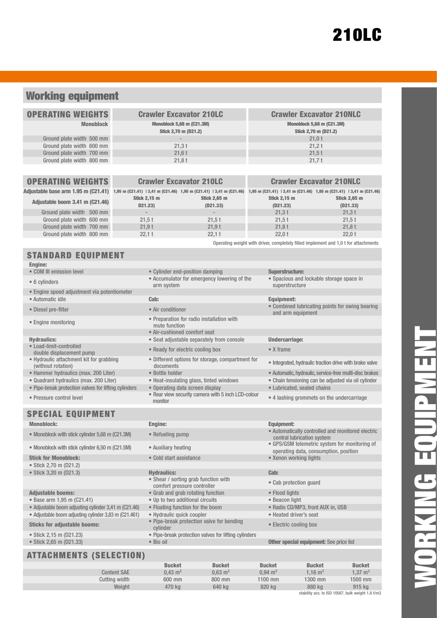## Working equipment

| <b>OPERATING WEIGHTS</b>  | <b>Crawler Excavator 210LC</b>                                  | <b>Crawler Excavator 210NLC</b>                                 |
|---------------------------|-----------------------------------------------------------------|-----------------------------------------------------------------|
| <b>Monoblock</b>          | <b>Monoblock 5,68 m (C21.3M)</b><br><b>Stick 2,70 m (D21.2)</b> | <b>Monoblock 5,68 m (C21.3M)</b><br><b>Stick 2,70 m (D21.2)</b> |
| Ground plate width 500 mm | $\overline{\phantom{a}}$                                        | 21.0t                                                           |
| Ground plate width 600 mm | 21.3t                                                           | 21.2 t                                                          |
| Ground plate width 700 mm | 21,6t                                                           | 21,5t                                                           |
| Ground plate width 800 mm | 21.8t                                                           | 21.7t                                                           |
|                           |                                                                 |                                                                 |

|  |  |  |  | <b>OPERATING WEIGHTS</b> |  |
|--|--|--|--|--------------------------|--|
|--|--|--|--|--------------------------|--|

| Adjustable base arm 1.95 m (C21.41) 1,95 m (C21.41) 13,41 m (C21.46) 1,95 m (C21.41) 13,41 m (C21.46) 1,95 m (C21.41) 13,41 m (C21.46) 1,95 m (C21.46) 13,41 m (C21.41) 13,41 m (C21.49) |                     |                     |                     |                     |
|------------------------------------------------------------------------------------------------------------------------------------------------------------------------------------------|---------------------|---------------------|---------------------|---------------------|
| Adjustable boom 3.41 m (C21.46)                                                                                                                                                          | <b>Stick 2.15 m</b> | <b>Stick 2.65 m</b> | <b>Stick 2.15 m</b> | <b>Stick 2.65 m</b> |
|                                                                                                                                                                                          | D21.23)             | (D21.33)            | (D21.23)            | (D21.33)            |
| Ground plate width 500 mm                                                                                                                                                                |                     |                     | 21.3t               | 21.3t               |
| Ground plate width 600 mm                                                                                                                                                                | 21.5t               | 21.5t               | 21.5t               | 21.5t               |
| Ground plate width 700 mm                                                                                                                                                                | 21.9t               | 21.9t               | 21.8t               | 21.8t               |
| Ground plate width 800 mm                                                                                                                                                                | 22.1 t              | 22.1 t              | 22.0t               | 22.0t               |

Crawler Excavator 210LC Crawler Excavator 210NLC

Operating weight with driver, completely filled implement and 1,0 t for attachments

### STANDARD FOUIDMENT

| ----- - -                                                     |                                                                  |                                                                                 |
|---------------------------------------------------------------|------------------------------------------------------------------|---------------------------------------------------------------------------------|
| <b>Engine:</b>                                                |                                                                  |                                                                                 |
| • COM III emission level                                      | • Cylinder end-position damping                                  | <b>Superstructure:</b>                                                          |
| • 6 cylinders                                                 | • Accumulator for emergency lowering of the<br>arm system        | · Spacious and lockable storage space in<br>superstructure                      |
| • Engine speed adjustment via potentiometer                   |                                                                  |                                                                                 |
| · Automatic idle                                              | Cab:                                                             | <b>Equipment:</b>                                                               |
| • Diesel pre-filter                                           | • Air conditioner                                                | • Combined lubricating points for swing bearing<br>and arm equipment            |
| • Engine monitoring                                           | • Preparation for radio installation with<br>mute function       |                                                                                 |
|                                                               | • Air-cushioned comfort seat                                     |                                                                                 |
| <b>Hydraulics:</b>                                            | • Seat adjustable separately from console                        | <b>Undercarriage:</b>                                                           |
| • Load-limit-controlled<br>double displacement pump           | • Ready for electric cooling box                                 | $\bullet$ X frame                                                               |
| • Hydraulic attachment kit for grabbing<br>(without rotation) | • Different options for storage, compartment for<br>documents    | • Integrated, hydraulic traction drive with brake valve                         |
| • Hammer hydraulics (max. 200 Liter)                          | · Bottle holder                                                  | · Automatic, hydraulic, service-free multi-disc brakes                          |
| · Quadrant hydraulics (max. 200 Liter)                        | • Heat-insulating glass, tinted windows                          | • Chain tensioning can be adjusted via oil cylinder                             |
| • Pipe-break protection valves for lifting cylinders          | • Operating data screen display                                  | • Lubricated, sealed chains                                                     |
| • Pressure control level                                      | • Rear view security camera with 5 inch LCD-colour<br>monitor    | • 4 lashing grommets on the undercarriage                                       |
|                                                               |                                                                  |                                                                                 |
| <b>SPECIAL EQUIPMENT</b>                                      |                                                                  |                                                                                 |
| <b>Monoblock:</b>                                             | Engine:                                                          | <b>Equipment:</b>                                                               |
| • Monoblock with stick cylinder 5,68 m (C21.3M)               | • Refueling pump                                                 | • Automatically controlled and monitored electric<br>central lubrication system |
| • Monoblock with stick cylinder 6,50 m (C21.5M)               | • Auxiliary heating                                              | • GPS/GSM telemetric system for monitoring of                                   |
| <b>Stick for Monoblock:</b>                                   | • Cold start assistance                                          | operating data, consumption, position<br>• Xenon working lights                 |
| • Stick 2,70 m (D21.2)                                        |                                                                  |                                                                                 |
| • Stick 3,20 m (D21.3)                                        | <b>Hydraulics:</b>                                               | Cab:                                                                            |
|                                                               | • Shear / sorting grab function with                             | • Cab protection guard                                                          |
| <b>Adjustable booms:</b>                                      | comfort pressure controller<br>• Grab and grab rotating function | • Flood lights                                                                  |
| · Base arm 1,95 m (C21.41)                                    | . Up to two additional circuits                                  | • Beacon light                                                                  |
| • Adjustable boom adjusting cylinder 3,41 m (C21.46)          | • Floating function for the boom                                 | · Radio CD/MP3, front AUX in, USB                                               |
| • Adjustable boom adjusting cylinder 3,83 m (C21.461)         | · Hydraulic quick coupler                                        | • Heated driver's seat                                                          |
| <b>Sticks for adjustable booms:</b>                           | • Pipe-break protection valve for bending<br>cylinder            | • Electric cooling box                                                          |
| • Stick 2,15 m (D21.23)                                       | • Pipe-break protection valves for lifting cylinders             |                                                                                 |
| • Stick 2,65 m (D21.33)                                       | · Bio oil                                                        | <b>Other special equipment:</b> See price list                                  |

#### ATTACHMENTS (SELECTION)

|               | <b>Bucket</b>      | <b>Bucket</b>      | <b>Bucket</b>      | <b>Bucket</b>         | <b>Bucket</b>                                     |
|---------------|--------------------|--------------------|--------------------|-----------------------|---------------------------------------------------|
| Content SAE   | $0.43 \text{ m}^3$ | $0.63 \text{ m}^3$ | $0.94 \text{ m}^3$ | 1.16 $\mathrm{m}^{3}$ | 1.37 $m3$                                         |
| Cuttina width | 600 mm             | 800 mm             | $1100$ mm          | 1300 mm               | 1500 mm                                           |
| Weight        | 470 kg             | 640 kg             | 820 kg             | 880 kg                | 915 kg                                            |
|               |                    |                    |                    |                       | stability acc. to ISO 10567, bulk weight 1.8 t/m3 |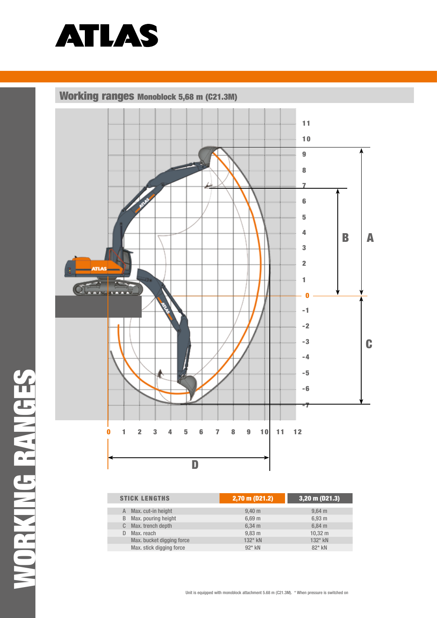

Working ranges Monoblock 5,68 m (C21.3M)



| <b>STICK LENGTHS</b>      | 2,70 m (D21.2)     | $3,20 \text{ m}$ (D21.3) |  |  |
|---------------------------|--------------------|--------------------------|--|--|
| Max. cut-in height<br>A   | $9.40 \text{ m}$   | $9.64$ m                 |  |  |
| Max. pouring height<br>B  | $6,69$ m           | 6,93 m                   |  |  |
| Max. trench depth<br>C.   | $6,34 \, m$        | 6.84 <sub>m</sub>        |  |  |
| Max. reach                | $9,83 \, \text{m}$ | $10,32 \; m$             |  |  |
| Max. bucket digging force | $132*$ kN          | 132* kN                  |  |  |
| Max. stick digging force  | $92*$ kN           | 82* kN                   |  |  |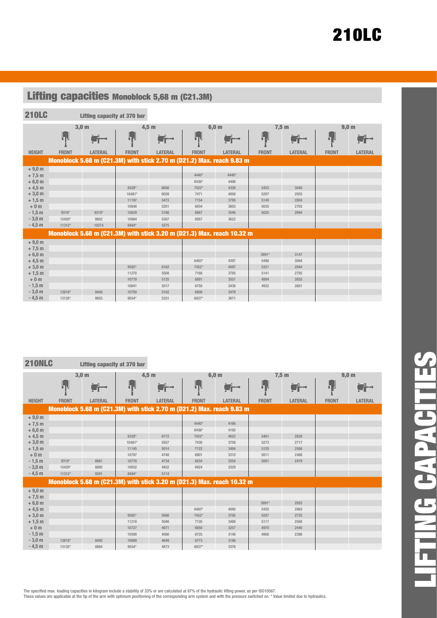| <b>Lifting capacities Monoblock 5,68 m (C21.3M)</b> |              |                                                                        |              |                |              |                |              |                |              |                  |
|-----------------------------------------------------|--------------|------------------------------------------------------------------------|--------------|----------------|--------------|----------------|--------------|----------------|--------------|------------------|
| <b>210LC</b>                                        |              | Lifting capacity at 370 bar                                            |              |                |              |                |              |                |              |                  |
|                                                     |              |                                                                        |              |                |              |                |              |                |              |                  |
|                                                     |              | 3,0 <sub>m</sub>                                                       | $4,5$ m      |                |              | 6,0 m          | $7,5$ m      |                |              | 9,0 <sub>m</sub> |
|                                                     | hн.          | $\blacksquare$                                                         | ПH           | a.             | hн           |                | 小            | i ka           | ╘┓╝          |                  |
| <b>HEIGHT</b>                                       | <b>FRONT</b> | <b>LATERAL</b>                                                         | <b>FRONT</b> | <b>LATERAL</b> | <b>FRONT</b> | <b>LATERAL</b> | <b>FRONT</b> | <b>LATERAL</b> | <b>FRONT</b> | <b>LATERAL</b>   |
|                                                     |              | Monoblock 5.68 m (C21.3M) with stick 2.70 m (D21.2) Max. reach 9.83 m  |              |                |              |                |              |                |              |                  |
| $+9,0 m$                                            |              |                                                                        |              |                |              |                |              |                |              |                  |
| $+7,5$ m                                            |              |                                                                        |              |                | 4440*        | 4440*          |              |                |              |                  |
| $+6,0 m$                                            |              |                                                                        |              |                | 6436*        | 4498           |              |                |              |                  |
| $+4,5$ m                                            |              |                                                                        | 8328*        | 6656           | 7022*        | 4326           | 5425         | 3048           |              |                  |
| $+3,0$ m                                            |              |                                                                        | 10481*       | 6028           | 7471         | 4058           | 5297         | 2935           |              |                  |
| $+1,5$ m                                            |              |                                                                        | 11197        | 5473           | 7154         | 3790           | 5149         | 2804           |              |                  |
| $+0m$                                               |              |                                                                        | 10848        | 5201           | 6934         | 3603           | 5035         | 2703           |              |                  |
| $-1,5$ m                                            | 9319*        | 9319*                                                                  | 10829        | 5186           | 6867         | 3546           | 5025         | 2694           |              |                  |
| $-3,0 m$                                            | 15420*       | 9852                                                                   | 10984        | 5307           | 6957         | 3622           |              |                |              |                  |
| $-4,5$ m                                            | 11312*       | 10274                                                                  | 8484*        | 5575           |              |                |              |                |              |                  |
|                                                     |              | Monoblock 5.68 m (C21.3M) with stick 3.20 m (D21.3) Max. reach 10.32 m |              |                |              |                |              |                |              |                  |
| $+9,0 m$                                            |              |                                                                        |              |                |              |                |              |                |              |                  |
| $+7,5$ m                                            |              |                                                                        |              |                |              |                |              |                |              |                  |
| $+6,0 m$                                            |              |                                                                        |              |                |              |                | 3991*        | 3147           |              |                  |
| $+4,5$ m                                            |              |                                                                        |              |                | 6483*        | 4397           | 5480         | 3084           |              |                  |
| $+3,0$ m                                            |              |                                                                        | 9585*        | 6162           | 7452*        | 4097           | 5321         | 2944           |              |                  |
| $+1,5$ m                                            |              |                                                                        | 11270        | 5508           | 7168         | 3785           | 5141         | 2785           |              |                  |
| $+0m$                                               |              |                                                                        | 10779        | 5125           | 6891         | 3551           | 4994         | 2655           |              |                  |
| $-1,5$ m                                            |              |                                                                        | 10641        | 5017           | 6758         | 3438           | 4932         | 2601           |              |                  |
| $-3,0$ m                                            | 13818*       | 9448                                                                   | 10750        | 5102           | 6806         | 3479           |              |                |              |                  |
| $-4,5$ m                                            | 13135*       | 9855                                                                   | 9554*        | 5331           | 6837*        | 3671           |              |                |              |                  |

i.

210NLC Lifting capacity at 370 bar

|               |              | 3,0 <sub>m</sub>                                                       |              | $4,5$ m        |              | 6,0 m          |              | 7,5 m          |              | 9,0 <sub>m</sub> |
|---------------|--------------|------------------------------------------------------------------------|--------------|----------------|--------------|----------------|--------------|----------------|--------------|------------------|
|               | hЧ           | à.                                                                     | hμ           | $\blacksquare$ | ┠╻╝          | $\blacksquare$ | Ь,           | $\leftarrow$   | ┟╷           |                  |
| <b>HEIGHT</b> | <b>FRONT</b> | <b>LATERAL</b>                                                         | <b>FRONT</b> | <b>LATERAL</b> | <b>FRONT</b> | <b>LATERAL</b> | <b>FRONT</b> | <b>LATERAL</b> | <b>FRONT</b> | <b>LATERAL</b>   |
|               |              | Monoblock 5.68 m (C21.3M) with stick 2.70 m (D21.2) Max. reach 9.83 m  |              |                |              |                |              |                |              |                  |
| $+9,0 m$      |              |                                                                        |              |                |              |                |              |                |              |                  |
| $+7,5$ m      |              |                                                                        |              |                | $4440*$      | 4166           |              |                |              |                  |
| $+6,0 m$      |              |                                                                        |              |                | 6436*        | 4192           |              |                |              |                  |
| $+4,5$ m      |              |                                                                        | 8328*        | 6172           | 7022*        | 4022           | 5401         | 2828           |              |                  |
| $+3,0 m$      |              |                                                                        | 10481*       | 5557           | 7438         | 3758           | 5273         | 2717           |              |                  |
| $+1,5$ m      |              |                                                                        | 11145        | 5014           | 7122         | 3494           | 5125         | 2588           |              |                  |
| $+0m$         |              |                                                                        | 10797        | 4748           | 6901         | 3310           | 5011         | 2488           |              |                  |
| $-1,5$ m      | 9319*        | 8661                                                                   | 10778        | 4734           | 6834         | 3254           | 5001         | 2479           |              |                  |
| $-3,0 m$      | 15420*       | 8885                                                                   | 10932        | 4852           | 6924         | 3329           |              |                |              |                  |
| $-4,5$ m      | 11312*       | 9291                                                                   | 8484*        | 5114           |              |                |              |                |              |                  |
|               |              | Monoblock 5.68 m (C21.3M) with stick 3.20 m (D21.3) Max. reach 10.32 m |              |                |              |                |              |                |              |                  |
| $+9,0 m$      |              |                                                                        |              |                |              |                |              |                |              |                  |
| $+7,5$ m      |              |                                                                        |              |                |              |                |              |                |              |                  |
| $+6,0 m$      |              |                                                                        |              |                |              |                | 3991*        | 2925           |              |                  |
| $+4,5$ m      |              |                                                                        |              |                | 6483*        | 4090           | 5455         | 2863           |              |                  |
| $+3,0$ m      |              |                                                                        | 9585*        | 5686           | 7452*        | 3795           | 5297         | 2725           |              |                  |
| $+1,5$ m      |              |                                                                        | 11218        | 5046           | 7135         | 3488           | 5117         | 2568           |              |                  |
| $+0m$         |              |                                                                        | 10727        | 4671           | 6858         | 3257           | 4970         | 2440           |              |                  |
| $-1,5$ m      |              |                                                                        | 10590        | 4566           | 6725         | 3146           | 4908         | 2386           |              |                  |
| $-3,0 m$      | 13818*       | 8492                                                                   | 10699        | 4649           | 6773         | 3186           |              |                |              |                  |
| $-4,5$ m      | 13135*       | 8884                                                                   | 9554*        | 4873           | 6837*        | 3376           |              |                |              |                  |

LIFTING CAPACITIESrt. **The Co E CAPACI**  $\overline{ }$  $\overline{\mathbf{r}}$ m.

The specified max. loading capacities in kilogram include a stability of 33% or are calculated at 87% of the hydraulic lifting power, as per ISO10567.<br>These values are applicable at the tip of the arm with optimum position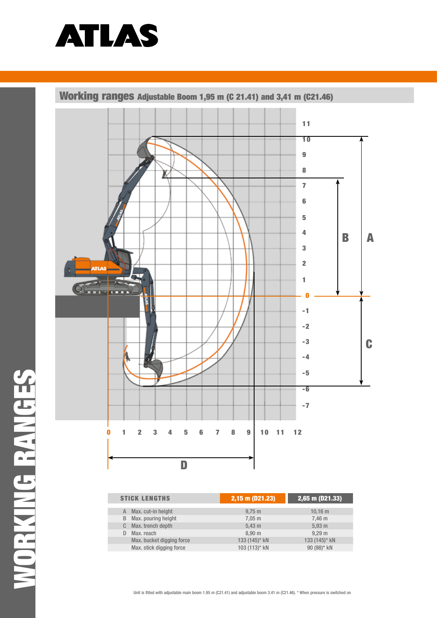

Working ranges adjustable Boom 1,95 m (C 21.41) and 3,41 m (C21.46)



| <b>STICK LENGTHS</b>      | $(2,15 \text{ m } (\overline{021}.23))$ | $2,65$ m (D21.33) |  |  |
|---------------------------|-----------------------------------------|-------------------|--|--|
| Max. cut-in height<br>A   | $9,75 \; \mathrm{m}$                    | $10.16 \text{ m}$ |  |  |
| Max. pouring height<br>B  | $7,05 \; \text{m}$                      | 7.46 <sub>m</sub> |  |  |
| Max. trench depth<br>C.   | 5.43 m                                  | 5.93 <sub>m</sub> |  |  |
| Max. reach<br>D           | 8.90 <sub>m</sub>                       | 9.29 <sub>m</sub> |  |  |
| Max. bucket digging force | 133 (145)* kN                           | 133 (145)* kN     |  |  |
| Max. stick digging force  | 103 (113)* kN                           | 90 (98)* kN       |  |  |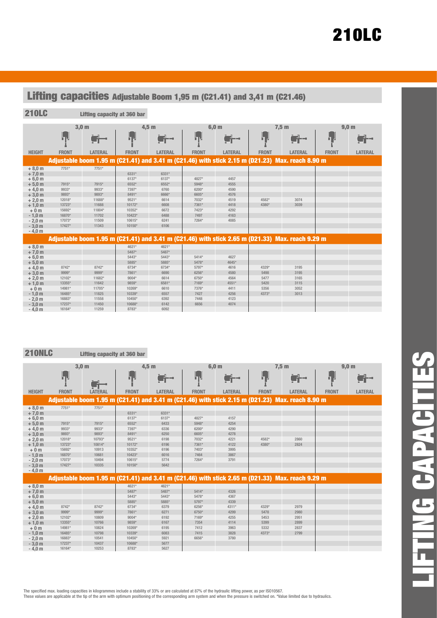| Lifting capacities Adjustable Boom 1,95 m (C21.41) and 3,41 m (C21.46)                                                                              |                                                                                              |                                                                                          |                                                                                                      |                                                                                          |                                                                              |                                                                      |                               |                                                                                                  |              |                  |
|-----------------------------------------------------------------------------------------------------------------------------------------------------|----------------------------------------------------------------------------------------------|------------------------------------------------------------------------------------------|------------------------------------------------------------------------------------------------------|------------------------------------------------------------------------------------------|------------------------------------------------------------------------------|----------------------------------------------------------------------|-------------------------------|--------------------------------------------------------------------------------------------------|--------------|------------------|
| <b>210LC</b>                                                                                                                                        |                                                                                              | Lifting capacity at 360 bar                                                              |                                                                                                      |                                                                                          |                                                                              |                                                                      |                               |                                                                                                  |              |                  |
|                                                                                                                                                     |                                                                                              | 3,0 <sub>m</sub><br>4.5 <sub>m</sub>                                                     |                                                                                                      |                                                                                          | 6.0 <sub>m</sub>                                                             |                                                                      | 7,5m                          |                                                                                                  |              | 9,0 <sub>m</sub> |
|                                                                                                                                                     | h v                                                                                          |                                                                                          | h۲                                                                                                   | sir-                                                                                     | h۳                                                                           |                                                                      | 6 J                           |                                                                                                  | ┠╻╿          |                  |
| <b>HEIGHT</b>                                                                                                                                       | <b>FRONT</b>                                                                                 | <b>LATERAL</b>                                                                           | <b>FRONT</b>                                                                                         | LATERAL                                                                                  | <b>FRONT</b>                                                                 | <b>LATERAL</b>                                                       | <b>FRONT</b>                  | <b>LATERAL</b>                                                                                   | <b>FRONT</b> | <b>LATERAL</b>   |
|                                                                                                                                                     |                                                                                              |                                                                                          |                                                                                                      |                                                                                          |                                                                              |                                                                      |                               | Adjustable boom 1.95 m (C21.41) and 3.41 m (C21.46) with stick 2.15 m (D21.23) Max. reach 8.90 m |              |                  |
| $+8,0 m$<br>$+7.0 m$<br>$+6,0 m$<br>$+5,0 m$<br>$+4.0 m$<br>$+3.0m$<br>$+2.0 m$<br>$+1.0 m$<br>$+0m$<br>$-1.0 m$<br>$-2,0$ m<br>$-3.0 m$<br>$-4.0m$ | 7751*<br>7915*<br>9933*<br>9893*<br>12018*<br>13723*<br>15692*<br>16870*<br>17073*<br>17427* | 7751*<br>7915*<br>9933*<br>9893*<br>11688*<br>11688<br>11804*<br>11702<br>11509<br>11343 | 6331*<br>6137*<br>6552*<br>7397*<br>8491*<br>9521*<br>10172*<br>10352*<br>10423*<br>10615*<br>10150* | 6331*<br>6137*<br>6552*<br>6760<br>6666*<br>6614<br>6608<br>6672<br>6488<br>6241<br>6106 | 4827*<br>5948*<br>6200*<br>6605*<br>7032*<br>7361*<br>7423*<br>7497<br>7264* | 4457<br>4555<br>4590<br>4576<br>4519<br>4418<br>4292<br>4163<br>4085 | 4582*<br>4380*                | 3074<br>3039                                                                                     |              |                  |
|                                                                                                                                                     |                                                                                              |                                                                                          |                                                                                                      |                                                                                          |                                                                              |                                                                      |                               | Adjustable boom 1.95 m (C21.41) and 3.41 m (C21.46) with stick 2.65 m (D21.33) Max. reach 9.29 m |              |                  |
| $+8,0 m$<br>$+7,0 m$<br>$+6,0 m$<br>$+5,0 m$<br>$+4.0 m$<br>$+3,0 m$                                                                                | 8742*<br>9999*                                                                               | 8742*<br>$9999^*$                                                                        | 4621*<br>5487*<br>5443*<br>5885*<br>6734*<br>7861*                                                   | 4621*<br>5487*<br>5443*<br>5885*<br>6734*<br>6690                                        | 5414*<br>5478*<br>5797*<br>6256*                                             | 4627<br>4645*<br>4616<br>4580                                        | 4329*<br>5498                 | 3195<br>3195                                                                                     |              |                  |
| $+2,0 m$<br>$+1.0 m$<br>$+0m$<br>$-1.0 m$<br>$-2.0m$<br>$-3.0m$<br>$-4.0m$                                                                          | 12102*<br>13355*<br>14981*<br>16485*<br>16883*<br>17237*<br>16164*                           | 11682*<br>11642<br>11705*<br>11825<br>11558<br>11450<br>11259                            | 9004*<br>9859*<br>10269*<br>10339*<br>10450*<br>10688*<br>8783*                                      | 6614<br>6581*<br>6610<br>6557<br>6392<br>6142<br>6092                                    | 6750*<br>7169*<br>7376*<br>7427<br>7448<br>6656                              | 4564<br>4551*<br>4411<br>4256<br>4123<br>4074                        | 5477<br>5420<br>5356<br>4373* | 3165<br>3115<br>3052<br>3013                                                                     |              |                  |

210NLC Lifting capacity at 360 bar

|               |              | 3,0 <sub>m</sub>                                                                                                                                                                                                               |              | $4,5$ m        |              | 6,0 <sub>m</sub> |              | 7,5m                                                                                             |              | 9,0 <sub>m</sub> |
|---------------|--------------|--------------------------------------------------------------------------------------------------------------------------------------------------------------------------------------------------------------------------------|--------------|----------------|--------------|------------------|--------------|--------------------------------------------------------------------------------------------------|--------------|------------------|
|               | Ьv           | istration of the contract of the contract of the contract of the contract of the contract of the contract of the contract of the contract of the contract of the contract of the contract of the contract of the contract of t | h.           | ni prestav     | h e          | $\blacksquare$   | ┞╻╿          |                                                                                                  | Ь,           |                  |
| <b>HEIGHT</b> | <b>FRONT</b> | <b>LATERAL</b>                                                                                                                                                                                                                 | <b>FRONT</b> | <b>LATERAL</b> | <b>FRONT</b> | <b>LATERAL</b>   | <b>FRONT</b> | <b>LATERAL</b>                                                                                   | <b>FRONT</b> | <b>LATERAL</b>   |
|               |              |                                                                                                                                                                                                                                |              |                |              |                  |              | Adjustable boom 1.95 m (C21.41) and 3.41 m (C21.46) with stick 2.15 m (D21.23) Max. reach 8.90 m |              |                  |
| $+8,0 m$      | 7751*        | 7751*                                                                                                                                                                                                                          |              |                |              |                  |              |                                                                                                  |              |                  |
| $+7,0 m$      |              |                                                                                                                                                                                                                                | 6331*        | 6331*          |              |                  |              |                                                                                                  |              |                  |
| $+6,0 m$      |              |                                                                                                                                                                                                                                | 6137*        | 6137*          | 4827*        | 4157             |              |                                                                                                  |              |                  |
| $+5,0 m$      | 7915*        | 7915*                                                                                                                                                                                                                          | 6552*        | 6433           | 5948*        | 4254             |              |                                                                                                  |              |                  |
| $+4,0 m$      | 9933*        | 9933*                                                                                                                                                                                                                          | 7397*        | 6336           | 6200*        | 4290             |              |                                                                                                  |              |                  |
| $+3,0 m$      | 9893*        | 9893*                                                                                                                                                                                                                          | 8491*        | 6250           | 6605*        | 4278             |              |                                                                                                  |              |                  |
| $+2,0 m$      | 12018*       | 10793*                                                                                                                                                                                                                         | 9521*        | 6198           | 7032*        | 4221             | 4582*        | 2860                                                                                             |              |                  |
| $+1,0 m$      | 13723*       | 10814*                                                                                                                                                                                                                         | 10172*       | 6196           | 7361*        | 4122             | 4380*        | 2824                                                                                             |              |                  |
| $+0m$         | 15692*       | 10913                                                                                                                                                                                                                          | 10352*       | 6196           | 7403*        | 3995             |              |                                                                                                  |              |                  |
| $-1.0 m$      | 16870*       | 10681                                                                                                                                                                                                                          | 10423*       | 6016           | 7464         | 3867             |              |                                                                                                  |              |                  |
| $-2,0$ m      | 17073*       | 10494                                                                                                                                                                                                                          | 10615*       | 5774           | 7264*        | 3791             |              |                                                                                                  |              |                  |
| $-3,0 m$      | 17427*       | 10335                                                                                                                                                                                                                          | 10150*       | 5642           |              |                  |              |                                                                                                  |              |                  |
| $-4.0 m$      |              |                                                                                                                                                                                                                                |              |                |              |                  |              |                                                                                                  |              |                  |
|               |              |                                                                                                                                                                                                                                |              |                |              |                  |              | Adjustable boom 1.95 m (C21.41) and 3.41 m (C21.46) with stick 2.65 m (D21.33) Max. reach 9.29 m |              |                  |
| $+8,0 m$      |              |                                                                                                                                                                                                                                | 4621*        | 4621*          |              |                  |              |                                                                                                  |              |                  |
| $+7,0 m$      |              |                                                                                                                                                                                                                                | 5487*        | 5487*          | $5414*$      | 4326             |              |                                                                                                  |              |                  |
| $+6,0 m$      |              |                                                                                                                                                                                                                                | 5443*        | $5443*$        | 5478*        | 4367             |              |                                                                                                  |              |                  |
| $+5.0 m$      |              |                                                                                                                                                                                                                                | 5885*        | 5885*          | 5797*        | 4339             |              |                                                                                                  |              |                  |
| $+4.0 m$      | 8742*        | 8742*                                                                                                                                                                                                                          | 6734*        | 6379           | 6256*        | 4311*            | 4329*        | 2979                                                                                             |              |                  |
| $+3.0 m$      | 9999*        | $9999*$                                                                                                                                                                                                                        | 7861*        | 6271           | 6750*        | 4299             | 5478         | 2980                                                                                             |              |                  |
| $+2,0 m$      | 12102*       | 10809                                                                                                                                                                                                                          | 9004*        | 6192           | 7169*        | 4255             | 5453         | 2951                                                                                             |              |                  |
| $+1.0 m$      | 13355*       | 10766                                                                                                                                                                                                                          | 9859*        | 6167           | 7354         | 4114             | 5399         | 2899                                                                                             |              |                  |
| $+0m$         | 14981*       | 10824                                                                                                                                                                                                                          | 10269*       | 6195           | 7412         | 3963             | 5332         | 2837                                                                                             |              |                  |
| $-1,0$ m      | 16485*       | 10798                                                                                                                                                                                                                          | 10339*       | 6083           | 7415         | 3828             | 4373*        | 2799                                                                                             |              |                  |
| $-2,0 m$      | 16883*       | 10541                                                                                                                                                                                                                          | 10450*       | 5921           | 6656*        | 3780             |              |                                                                                                  |              |                  |
| $-3,0 m$      | 17237*       | 10437                                                                                                                                                                                                                          | 10688*       | 5677           |              |                  |              |                                                                                                  |              |                  |
| $-4.0 m$      | 16164*       | 10253                                                                                                                                                                                                                          | 8783*        | 5627           |              |                  |              |                                                                                                  |              |                  |

The specified max. loading capacities in kilogrammes include a stability of 33% or are calculated at 87% of the hydraulic lifting power, as per ISO10567.

These values are applicable at the tip of the arm with optimum positioning of the corresponding arm system and when the pressure is switched on. \*Value limited due to hydraulics.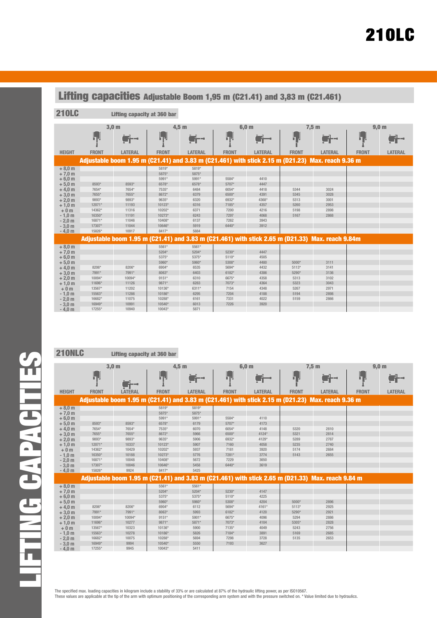| Lifting capacities Adjustable Boom 1,95 m (C21.41) and 3,83 m (C21.461)                                                                              |                                                                                              |                                                                                        |                                                                                                                        |                                                                                                          |                                                                                     |                                                                               |                                              |                                                                                                                                                  |              |                  |
|------------------------------------------------------------------------------------------------------------------------------------------------------|----------------------------------------------------------------------------------------------|----------------------------------------------------------------------------------------|------------------------------------------------------------------------------------------------------------------------|----------------------------------------------------------------------------------------------------------|-------------------------------------------------------------------------------------|-------------------------------------------------------------------------------|----------------------------------------------|--------------------------------------------------------------------------------------------------------------------------------------------------|--------------|------------------|
| <b>210LC</b>                                                                                                                                         |                                                                                              | Lifting capacity at 360 bar                                                            |                                                                                                                        |                                                                                                          |                                                                                     |                                                                               |                                              |                                                                                                                                                  |              |                  |
|                                                                                                                                                      |                                                                                              | 3,0 <sub>m</sub>                                                                       | 4.5 <sub>m</sub>                                                                                                       |                                                                                                          | 6,0 <sub>m</sub>                                                                    |                                                                               | $7,5$ m                                      |                                                                                                                                                  |              | 9,0 <sub>m</sub> |
|                                                                                                                                                      | h.,                                                                                          |                                                                                        | ┠┓┙                                                                                                                    |                                                                                                          | hЧ                                                                                  |                                                                               | ┠╻┨                                          |                                                                                                                                                  | ┠┑┋          |                  |
| <b>HEIGHT</b>                                                                                                                                        | <b>FRONT</b>                                                                                 | <b>LATERAL</b>                                                                         | <b>FRONT</b>                                                                                                           | <b>LATERAL</b>                                                                                           | <b>FRONT</b>                                                                        | <b>LATERAL</b>                                                                | <b>FRONT</b>                                 | <b>LATERAL</b>                                                                                                                                   | <b>FRONT</b> | <b>LATERAL</b>   |
|                                                                                                                                                      |                                                                                              |                                                                                        |                                                                                                                        |                                                                                                          |                                                                                     |                                                                               |                                              | Adjustable boom 1.95 m (C21.41) and 3.83 m (C21.461) with stick 2.15 m (D21.23) Max. reach 9.36 m                                                |              |                  |
| $+8.0 m$<br>$+7,0 m$<br>$+6,0 m$<br>$+5,0 m$<br>$+4.0 m$<br>$+3.0 m$<br>$+2,0 m$<br>$+1.0m$<br>$+0m$<br>$-1,0$ m<br>$-2,0$ m<br>$-3,0 m$<br>$-4.0 m$ | 8593*<br>7654*<br>7655*<br>9893*<br>12071*<br>14362*<br>16350*<br>16871*<br>17307*<br>15826* | 8593*<br>7654*<br>7655*<br>9893*<br>11193<br>11316<br>11191<br>11046<br>11044<br>10917 | 5819*<br>5875*<br>5991*<br>6578*<br>7535*<br>8672*<br>9635*<br>10123*<br>10202*<br>10273*<br>10408*<br>10646*<br>8417* | 5819*<br>5875*<br>5991*<br>6578*<br>6484<br>6379<br>6320<br>6316<br>6371<br>6243<br>6137<br>5919<br>5884 | 5584*<br>5707*<br>6054*<br>6500*<br>6932*<br>7185*<br>7200<br>7297<br>7262<br>6440* | 4410<br>4447<br>4418<br>4391<br>4368*<br>4357<br>4216<br>4068<br>3943<br>3912 | 5344<br>5345<br>5313<br>5260<br>5198<br>5167 | 3024<br>3028<br>3001<br>2953<br>2898<br>2868<br>Adjustable boom 1.95 m (C21.41) and 3.83 m (C21.461) with stick 2.65 m (D21.33) Max. reach 9.84m |              |                  |
| $+8.0 m$                                                                                                                                             |                                                                                              |                                                                                        | $5561*$                                                                                                                | 5561*                                                                                                    |                                                                                     |                                                                               |                                              |                                                                                                                                                  |              |                  |
| $+7.0 m$<br>$+6,0 m$<br>$+5,0 m$                                                                                                                     |                                                                                              |                                                                                        | 5204*<br>5375*<br>5960*                                                                                                | 5204*<br>5375*<br>5960*                                                                                  | 5230*<br>$5110*$<br>5308*                                                           | 4447<br>4505<br>4480                                                          | 5000*                                        | 3111                                                                                                                                             |              |                  |
| $+4.0 m$                                                                                                                                             | 8206*                                                                                        | 8206*                                                                                  | 6904*                                                                                                                  | 6535                                                                                                     | 5694*                                                                               | 4432                                                                          | $5113*$                                      | 3141                                                                                                                                             |              |                  |
| $+3.0 m$<br>$+2,0 m$                                                                                                                                 | 7991*<br>10094*                                                                              | 7991*<br>10094*                                                                        | 8063*<br>$9151*$                                                                                                       | 6403<br>6310                                                                                             | 6182*<br>6675*                                                                      | 4386<br>4358                                                                  | 5290*<br>5313                                | 3136<br>3102                                                                                                                                     |              |                  |
| $+1,0 m$                                                                                                                                             | 11696*                                                                                       | 11126                                                                                  | 9871*                                                                                                                  | 6283                                                                                                     | 7073*                                                                               | 4364                                                                          | 5323                                         | 3043                                                                                                                                             |              |                  |
| $+0m$                                                                                                                                                | 13567*                                                                                       | 11202                                                                                  | 10136*                                                                                                                 | 6311*                                                                                                    | 7154                                                                                | 4348                                                                          | 5267                                         | 2971                                                                                                                                             |              |                  |
| $-1.0 m$                                                                                                                                             | 15563*                                                                                       | 11286                                                                                  | 10186*                                                                                                                 | 6295                                                                                                     | 7204                                                                                | 4188                                                                          | 5194                                         | 2898                                                                                                                                             |              |                  |
| $-2,0$ m                                                                                                                                             | 16682*                                                                                       | 11075                                                                                  | 10288*                                                                                                                 | 6161                                                                                                     | 7331                                                                                | 4022                                                                          | 5159                                         | 2866                                                                                                                                             |              |                  |
| $-3,0 m$                                                                                                                                             | 16949*                                                                                       | 10991                                                                                  | 10540*                                                                                                                 | 6013                                                                                                     | 7226                                                                                | 3920                                                                          |                                              |                                                                                                                                                  |              |                  |
| $-4,0$ m                                                                                                                                             | 17255*                                                                                       | 10940                                                                                  | $10043*$                                                                                                               | 5871                                                                                                     |                                                                                     |                                                                               |                                              |                                                                                                                                                  |              |                  |

210NLC Lifting capacity at 360 bar

|               |              | 3,0 <sub>m</sub> |                 | $4,5$ m        |              | 6,0 <sub>m</sub> |              | 7,5m                                                                                              |              | 9,0 <sub>m</sub> |
|---------------|--------------|------------------|-----------------|----------------|--------------|------------------|--------------|---------------------------------------------------------------------------------------------------|--------------|------------------|
|               | h.           |                  | ┞┓ <sub>╈</sub> |                | hн.          |                  | h d          | i il                                                                                              | ┢╻┚          |                  |
| <b>HEIGHT</b> | <b>FRONT</b> | <b>LATERAL</b>   | <b>FRONT</b>    | <b>LATERAL</b> | <b>FRONT</b> | <b>LATERAL</b>   | <b>FRONT</b> | <b>LATERAL</b>                                                                                    | <b>FRONT</b> | <b>LATERAL</b>   |
|               |              |                  |                 |                |              |                  |              | Adjustable boom 1.95 m (C21.41) and 3.83 m (C21.461) with stick 2.15 m (D21.23) Max. reach 9.36 m |              |                  |
| $+8,0 m$      |              |                  | 5819*           | 5819*          |              |                  |              |                                                                                                   |              |                  |
| $+7,0 m$      |              |                  | 5875*           | 5875*          |              |                  |              |                                                                                                   |              |                  |
| $+6.0 m$      |              |                  | 5991*           | 5991*          | 5584*        | 4110             |              |                                                                                                   |              |                  |
| $+5,0 m$      | 8593*        | 8593*            | 6578*           | 6179           | 5707*        | 4173             |              |                                                                                                   |              |                  |
| $+4,0 m$      | 7654*        | 7654*            | 7535*           | 6070           | 6054*        | 4148             | 5320         | 2810                                                                                              |              |                  |
| $+3,0 m$      | 7655*        | 7655*            | 8672*           | 5966           | 6500*        | 4124*            | 5321         | 2814                                                                                              |              |                  |
| $+2,0$ m      | 9893*        | 9893*            | 9635*           | 5906           | 6932*        | 4129*            | 5289         | 2787                                                                                              |              |                  |
| $+1,0 m$      | 12071*       | 10337            | 10123*          | 5907           | 7160         | 4058             | 5235         | 2740                                                                                              |              |                  |
| $+0m$         | 14362*       | 10429            | 10202*          | 5937           | 7181         | 3920             | 5174         | 2684                                                                                              |              |                  |
| $-1,0$ m      | 16350*       | 10188            | 10273*          | 5776           | 7281*        | 3774             | 5143         | 2655                                                                                              |              |                  |
| $-2,0$ m      | 16871*       | 10048            | 10408*          | 5672           | 7229         | 3650             |              |                                                                                                   |              |                  |
| $-3,0 m$      | 17307*       | 10046            | 10646*          | 5458           | 6440*        | 3619             |              |                                                                                                   |              |                  |
| $-4.0 m$      | 15826*       | 9924             | 8417*           | 5425           |              |                  |              |                                                                                                   |              |                  |
|               |              |                  |                 |                |              |                  |              | Adjustable boom 1.95 m (C21.41) and 3.83 m (C21.461) with stick 2.65 m (D21.33) Max. reach 9.84 m |              |                  |
| $+8,0 m$      |              |                  | 5561*           | 5561*          |              |                  |              |                                                                                                   |              |                  |
| $+7,0 m$      |              |                  | 5204*           | 5204*          | 5230*        | 4147             |              |                                                                                                   |              |                  |
| $+6,0 m$      |              |                  | 5375*           | 5375*          | $5110*$      | 4225             |              |                                                                                                   |              |                  |
| $+5,0 m$      |              |                  | 5960*           | 5960*          | 5308*        | 4204             | 5000*        | 2896                                                                                              |              |                  |
| $+4.0 m$      | 8206*        | 8206*            | 6904*           | 6112           | 5694*        | $4161*$          | $5113*$      | 2925                                                                                              |              |                  |
| $+3.0 m$      | 7991*        | 7991*            | 8063*           | 5993           | 6182*        | 4120             | 5290*        | 2921                                                                                              |              |                  |
| $+2.0 m$      | 10094*       | 10094*           | $9151*$         | 5901*          | 6675*        | 4096             | 5294         | 2886                                                                                              |              |                  |
| $+1.0 m$      | 11696*       | 10277            | 9871*           | 5871*          | 7073*        | 4104             | 5305*        | 2828                                                                                              |              |                  |
| $+0m$         | 13567*       | 10323            | $10136*$        | 5900           | 7135*        | 4049             | 5243         | 2756                                                                                              |              |                  |
| $-1,0$ m      | 15563*       | 10278            | 10186*          | 5826           | 7184*        | 3891             | 5169         | 2685                                                                                              |              |                  |
| $-2,0$ m      | 16682*       | 10075            | 10288*          | 5694           | 7298         | 3728             | 5135         | 2653                                                                                              |              |                  |
| $-3,0$ m      | 16949*       | 9994             | 10540*          | 5550           | 7193         | 3627             |              |                                                                                                   |              |                  |
| $-4,0$ m      | 17255*       | 9945             | 10043*          | 5411           |              |                  |              |                                                                                                   |              |                  |

The specified max. loading capacities in kilogram include a stability of 33% or are calculated at 87% of the hydraulic lifting power, as per ISO10567. These values are applicable at the tip of the arm with optimum positioning of the corresponding arm system and with the pressure switched on. \* Value limited due to hydraulics.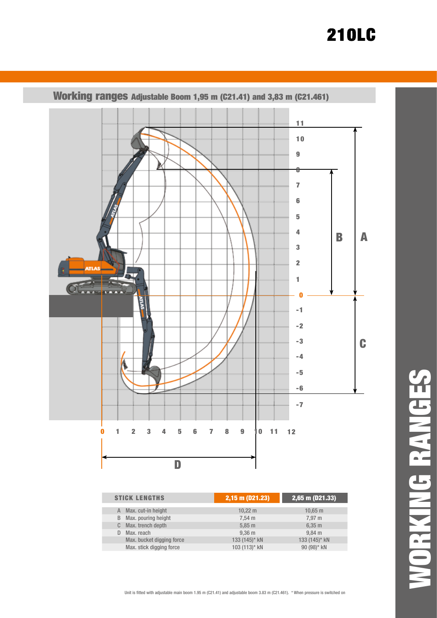

|    | <b>STICK LENGTHS</b>      | 2,15 m (D21.23)     | $2,65$ m (D21.33)  |  |  |
|----|---------------------------|---------------------|--------------------|--|--|
| A  | Max. cut-in height        | $10,22 \, \text{m}$ | $10,65 \; m$       |  |  |
| B  | Max. pouring height       | $7.54 \text{ m}$    | 7.97 m             |  |  |
| C. | Max. trench depth         | $5,85 \; m$         | $6,35 \; m$        |  |  |
| D  | Max. reach                | $9,36$ m            | $9,84 \, \text{m}$ |  |  |
|    | Max. bucket digging force | 133 (145)* kN       | 133 (145)* kN      |  |  |
|    | Max. stick digging force  | 103 (113)* kN       | 90 (98)* kN        |  |  |

WORKING RANGESORKING RANGES